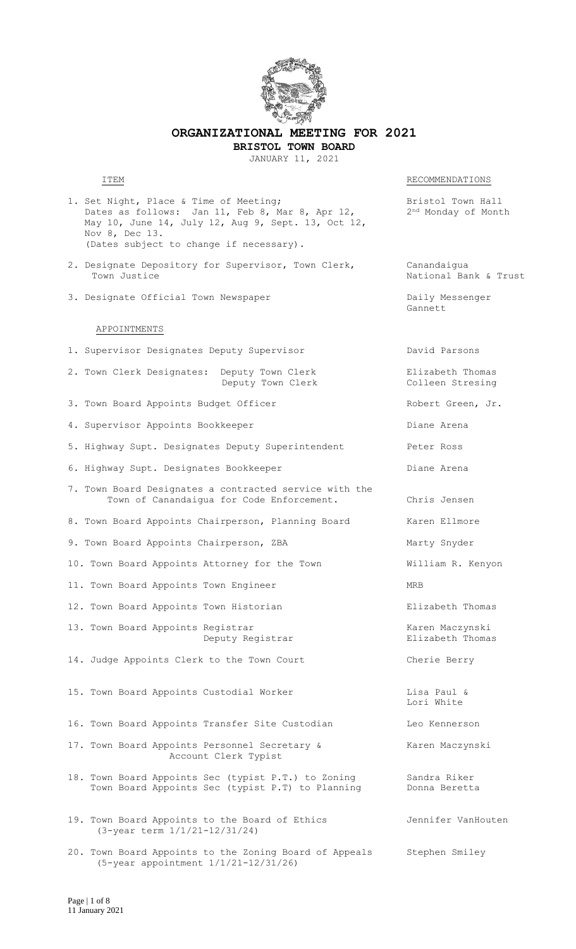

**ORGANIZATIONAL MEETING FOR 2021 BRISTOL TOWN BOARD**

JANUARY 11, 2021

RECOMMENDATIONS

- 1. Set Night, Place & Time of Meeting; The Mass of Meeting and Manuscriptus Resistol Town Hall Dates as follows: Jan 11, Feb 8, Mar 8, Apr 12,  $2^{\text{nd}}$  Monday of Month May 10, June 14, July 12, Aug 9, Sept. 13, Oct 12, Nov 8, Dec 13. (Dates subject to change if necessary).
- 2. Designate Depository for Supervisor, Town Clerk, Canandaigua Town Justice **National Bank & Trust**
- 3. Designate Official Town Newspaper Daily Messenger

#### APPOINTMENTS

- 1. Supervisor Designates Deputy Supervisor Manuel David Parsons 2. Town Clerk Designates: Deputy Town Clerk Filizabeth Thomas<br>Deputy Town Clerk Colleen Stresing Deputy Town Clerk 3. Town Board Appoints Budget Officer The Robert Green, Jr. 4. Supervisor Appoints Bookkeeper and Diane Arena 5. Highway Supt. Designates Deputy Superintendent Peter Ross 6. Highway Supt. Designates Bookkeeper Controller and Diane Arena 7. Town Board Designates a contracted service with the Town of Canandaigua for Code Enforcement. Chris Jensen 8. Town Board Appoints Chairperson, Planning Board Karen Ellmore 9. Town Board Appoints Chairperson, ZBA Marty Snyder 10. Town Board Appoints Attorney for the Town William R. Kenyon 11. Town Board Appoints Town Engineer MRB 12. Town Board Appoints Town Historian Thomas Elizabeth Thomas 13. Town Board Appoints Registrar Karen Maczynski Deputy Registrar **Elizabeth** Thomas 14. Judge Appoints Clerk to the Town Court Cherie Berry 15. Town Board Appoints Custodial Worker and Lisa Paul & 16. Town Board Appoints Transfer Site Custodian Theo Kennerson 17. Town Board Appoints Personnel Secretary & Karen Maczynski Account Clerk Typist 18. Town Board Appoints Sec (typist P.T.) to Zoning Sandra Riker<br>Town Board Appoints Sec (typist P.T) to Planning Donna Beretta Town Board Appoints Sec (typist P.T) to Planning
- 19. Town Board Appoints to the Board of Ethics Jennifer VanHouten (3-year term 1/1/21-12/31/24)
- 20. Town Board Appoints to the Zoning Board of Appeals Stephen Smiley (5-year appointment 1/1/21-12/31/26)

Gannett

Lori White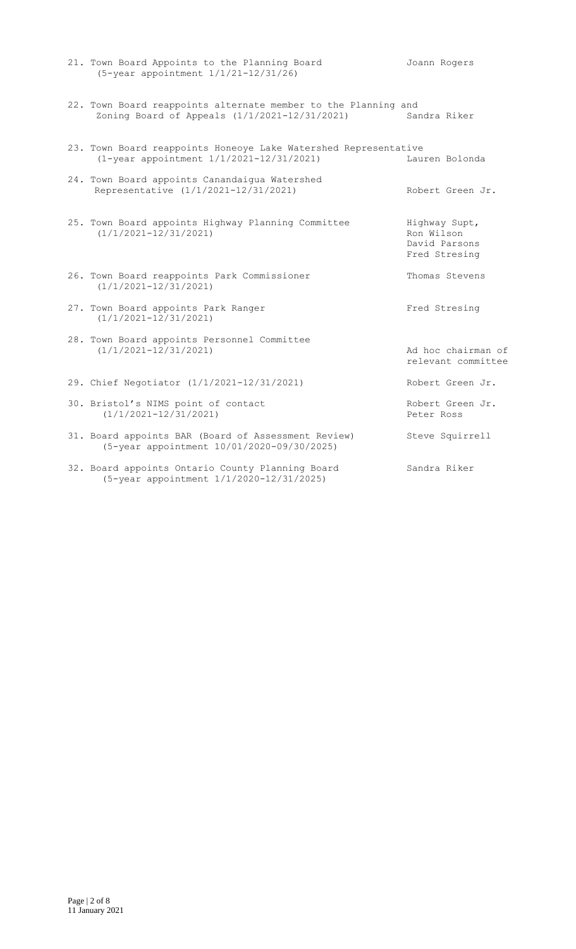| (5-year appointment 1/1/21-12/31/26)                                                                            |                                                               |
|-----------------------------------------------------------------------------------------------------------------|---------------------------------------------------------------|
| 22. Town Board reappoints alternate member to the Planning and<br>Zoning Board of Appeals (1/1/2021-12/31/2021) | Sandra Riker                                                  |
| 23. Town Board reappoints Honeoye Lake Watershed Representative<br>(1-year appointment 1/1/2021-12/31/2021)     | Lauren Bolonda                                                |
| 24. Town Board appoints Canandaigua Watershed<br>Representative (1/1/2021-12/31/2021)                           | Robert Green Jr.                                              |
| 25. Town Board appoints Highway Planning Committee<br>$(1/1/2021 - 12/31/2021)$                                 | Highway Supt,<br>Ron Wilson<br>David Parsons<br>Fred Stresing |
| 26. Town Board reappoints Park Commissioner<br>$(1/1/2021 - 12/31/2021)$                                        | Thomas Stevens                                                |
| 27. Town Board appoints Park Ranger<br>$(1/1/2021 - 12/31/2021)$                                                | Fred Stresing                                                 |
| 28. Town Board appoints Personnel Committee<br>$(1/1/2021 - 12/31/2021)$                                        | Ad hoc chairman of<br>relevant committee                      |
| 29. Chief Negotiator (1/1/2021-12/31/2021)                                                                      | Robert Green Jr.                                              |
| 30. Bristol's NIMS point of contact<br>$(1/1/2021 - 12/31/2021)$                                                | Robert Green Jr.<br>Peter Ross                                |
| 31. Board appoints BAR (Board of Assessment Review)<br>(5-year appointment 10/01/2020-09/30/2025)               | Steve Squirrell                                               |
| 32. Board appoints Ontario County Planning Board<br>(5-year appointment 1/1/2020-12/31/2025)                    | Sandra Riker                                                  |

21. Town Board Appoints to the Planning Board Joann Rogers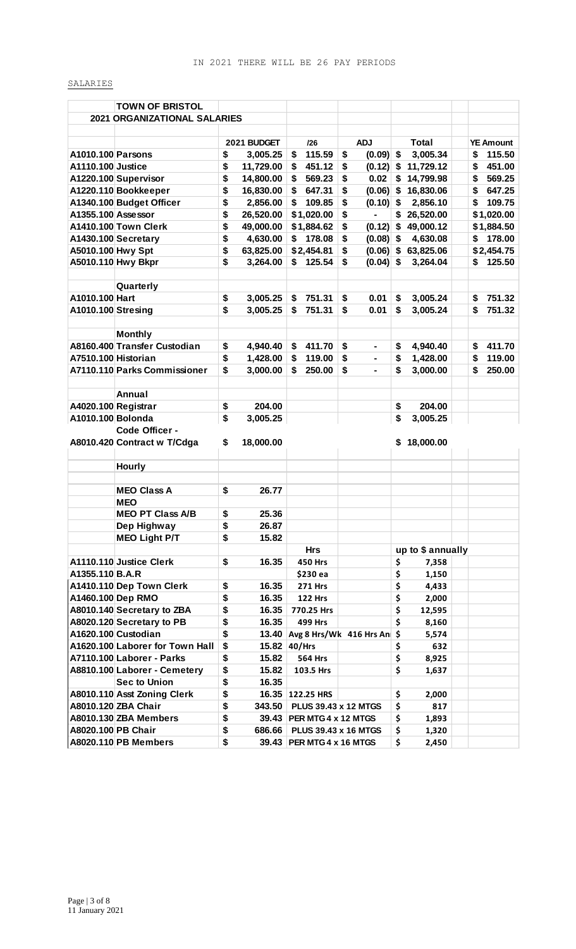## SALARIES

|                     | <b>TOWN OF BRISTOL</b>              |                    |    |                             |                         |                   |    |                  |
|---------------------|-------------------------------------|--------------------|----|-----------------------------|-------------------------|-------------------|----|------------------|
|                     | <b>2021 ORGANIZATIONAL SALARIES</b> |                    |    |                             |                         |                   |    |                  |
|                     |                                     |                    |    |                             |                         |                   |    |                  |
|                     |                                     | 2021 BUDGET        |    | 126                         | <b>ADJ</b>              | <b>Total</b>      |    | <b>YE Amount</b> |
| A1010.100 Parsons   |                                     | \$<br>3,005.25     | \$ | 115.59                      | \$<br>$(0.09)$ \$       | 3,005.34          | \$ | 115.50           |
| A1110.100 Justice   |                                     | \$<br>11,729.00    | \$ | 451.12                      | \$<br>$(0.12)$ \$       | 11,729.12         | S  | 451.00           |
|                     | A1220.100 Supervisor                | \$<br>14,800.00    | \$ | 569.23                      | \$<br>0.02              | \$<br>14,799.98   | \$ | 569.25           |
|                     | A1220.110 Bookkeeper                | \$<br>16,830.00    | S  | 647.31                      | \$<br>$(0.06)$ \$       | 16,830.06         | S  | 647.25           |
|                     | A1340.100 Budget Officer            | \$<br>2,856.00     | S  | 109.85                      | \$<br>$(0.10)$ \$       | 2,856.10          | S  | 109.75           |
| A1355.100 Assessor  |                                     | \$<br>26,520.00    |    | \$1,020.00                  | \$<br>٠                 | \$<br>26,520.00   |    | \$1,020.00       |
|                     | A1410.100 Town Clerk                | \$<br>49,000.00    |    | \$1,884.62                  | \$<br>$(0.12)$ \$       | 49,000.12         |    | \$1,884.50       |
|                     | A1430.100 Secretary                 | \$<br>4,630.00     | \$ | 178.08                      | \$<br>$(0.08)$ \$       | 4,630.08          | \$ | 178.00           |
| A5010.100 Hwy Spt   |                                     | \$<br>63,825.00    |    | \$2,454.81                  | \$<br>$(0.06)$ \$       | 63,825.06         |    | \$2,454.75       |
| A5010.110 Hwy Bkpr  |                                     | \$<br>3,264.00     |    | 125.54                      | \$<br>$(0.04)$ \$       | 3,264.04          | \$ | 125.50           |
|                     |                                     |                    |    |                             |                         |                   |    |                  |
|                     |                                     |                    |    |                             |                         |                   |    |                  |
|                     | Quarterly                           |                    |    |                             |                         |                   |    |                  |
| A1010.100 Hart      |                                     | \$<br>3,005.25     | \$ | 751.31                      | \$<br>0.01<br>0.01      | \$<br>3,005.24    | \$ | 751.32           |
| A1010.100 Stresing  |                                     | \$<br>3,005.25     | S  | 751.31                      | \$                      | \$<br>3,005.24    | S  | 751.32           |
|                     |                                     |                    |    |                             |                         |                   |    |                  |
|                     | <b>Monthly</b>                      |                    |    |                             |                         |                   |    |                  |
|                     | A8160.400 Transfer Custodian        | \$<br>4,940.40     | \$ | 411.70                      | \$                      | \$<br>4,940.40    | \$ | 411.70           |
| A7510.100 Historian |                                     | \$<br>1,428.00     | \$ | 119.00                      | \$                      | \$<br>1,428.00    | \$ | 119.00           |
|                     | A7110.110 Parks Commissioner        | \$<br>3,000.00     | \$ | 250.00                      | \$                      | \$<br>3,000.00    | \$ | 250.00           |
|                     |                                     |                    |    |                             |                         |                   |    |                  |
|                     | Annual                              |                    |    |                             |                         |                   |    |                  |
| A4020.100 Registrar |                                     | \$<br>204.00       |    |                             |                         | \$<br>204.00      |    |                  |
| A1010.100 Bolonda   |                                     | \$<br>3,005.25     |    |                             |                         | \$<br>3,005.25    |    |                  |
|                     | Code Officer -                      |                    |    |                             |                         |                   |    |                  |
|                     | A8010.420 Contract w T/Cdga         | \$<br>18,000.00    |    |                             |                         | \$18,000.00       |    |                  |
|                     |                                     |                    |    |                             |                         |                   |    |                  |
|                     | <b>Hourly</b>                       |                    |    |                             |                         |                   |    |                  |
|                     |                                     |                    |    |                             |                         |                   |    |                  |
|                     | <b>MEO Class A</b>                  | \$<br>26.77        |    |                             |                         |                   |    |                  |
|                     | <b>MEO</b>                          |                    |    |                             |                         |                   |    |                  |
|                     | <b>MEO PT Class A/B</b>             | \$<br>25.36        |    |                             |                         |                   |    |                  |
|                     | Dep Highway                         | \$<br>26.87        |    |                             |                         |                   |    |                  |
|                     | <b>MEO Light P/T</b>                | \$<br>15.82        |    |                             |                         |                   |    |                  |
|                     |                                     |                    |    | <b>Hrs</b>                  |                         | up to \$ annually |    |                  |
|                     | A1110.110 Justice Clerk             | \$<br>16.35        |    | <b>450 Hrs</b>              |                         | \$<br>7,358       |    |                  |
| A1355.110 B.A.R     |                                     |                    |    | \$230 ea                    |                         | \$<br>1,150       |    |                  |
|                     | A1410.110 Dep Town Clerk            | \$<br>16.35        |    | <b>271 Hrs</b>              |                         | \$<br>4,433       |    |                  |
| A1460.100 Dep RMO   |                                     | \$<br>16.35        |    | <b>122 Hrs</b>              |                         | \$<br>2,000       |    |                  |
|                     | A8010.140 Secretary to ZBA          | \$<br>16.35        |    | 770.25 Hrs                  |                         | \$<br>12,595      |    |                  |
|                     | A8020.120 Secretary to PB           | \$<br>16.35        |    | <b>499 Hrs</b>              |                         | \$<br>8,160       |    |                  |
|                     | A1620.100 Custodian                 | \$<br>13.40        |    |                             | Avg 8 Hrs/Wk 416 Hrs An | 5,574             |    |                  |
|                     | A1620.100 Laborer for Town Hall     | \$<br>15.82 40/Hrs |    |                             |                         | \$<br>632         |    |                  |
|                     | A7110.100 Laborer - Parks           | \$<br>15.82        |    | <b>564 Hrs</b>              |                         | \$<br>8,925       |    |                  |
|                     | A8810.100 Laborer - Cemetery        | \$<br>15.82        |    | 103.5 Hrs                   |                         | \$<br>1,637       |    |                  |
|                     | <b>Sec to Union</b>                 | \$<br>16.35        |    |                             |                         |                   |    |                  |
|                     | A8010.110 Asst Zoning Clerk         | \$                 |    | 16.35 122.25 HRS            |                         | \$<br>2,000       |    |                  |
|                     | A8010.120 ZBA Chair                 | \$<br>343.50       |    | PLUS 39.43 x 12 MTGS        |                         | \$<br>817         |    |                  |
|                     | A8010.130 ZBA Members               | \$                 |    | 39.43 PER MTG 4 x 12 MTGS   |                         | \$<br>1,893       |    |                  |
| A8020.100 PB Chair  |                                     | \$                 |    | 686.66 PLUS 39.43 x 16 MTGS |                         | \$<br>1,320       |    |                  |
|                     | <b>A8020.110 PB Members</b>         | \$                 |    | 39.43 PER MTG 4 x 16 MTGS   |                         | \$<br>2,450       |    |                  |
|                     |                                     |                    |    |                             |                         |                   |    |                  |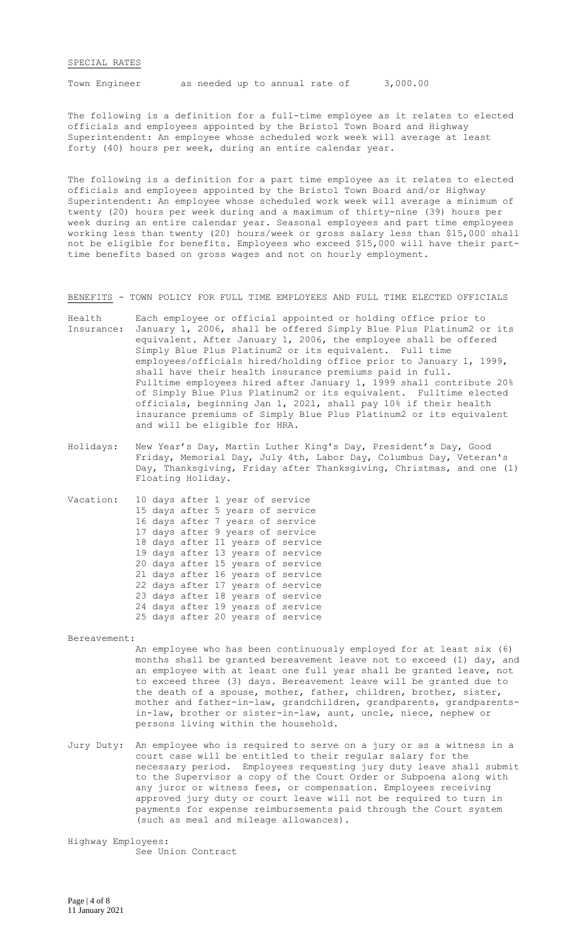#### SPECIAL RATES

Town Engineer as needed up to annual rate of 3,000.00

The following is a definition for a full-time employee as it relates to elected officials and employees appointed by the Bristol Town Board and Highway Superintendent: An employee whose scheduled work week will average at least forty (40) hours per week, during an entire calendar year.

The following is a definition for a part time employee as it relates to elected officials and employees appointed by the Bristol Town Board and/or Highway Superintendent: An employee whose scheduled work week will average a minimum of twenty (20) hours per week during and a maximum of thirty-nine (39) hours per week during an entire calendar year. Seasonal employees and part time employees working less than twenty (20) hours/week or gross salary less than \$15,000 shall not be eligible for benefits. Employees who exceed \$15,000 will have their parttime benefits based on gross wages and not on hourly employment.

BENEFITS - TOWN POLICY FOR FULL TIME EMPLOYEES AND FULL TIME ELECTED OFFICIALS

- Health Each employee or official appointed or holding office prior to Insurance: January 1, 2006, shall be offered Simply Blue Plus Platinum2 or its equivalent. After January 1, 2006, the employee shall be offered Simply Blue Plus Platinum2 or its equivalent. Full time employees/officials hired/holding office prior to January 1, 1999, shall have their health insurance premiums paid in full. Fulltime employees hired after January 1, 1999 shall contribute 20% of Simply Blue Plus Platinum2 or its equivalent. Fulltime elected officials, beginning Jan 1, 2021, shall pay 10% if their health insurance premiums of Simply Blue Plus Platinum2 or its equivalent and will be eligible for HRA.
- Holidays: New Year's Day, Martin Luther King's Day, President's Day, Good Friday, Memorial Day, July 4th, Labor Day, Columbus Day, Veteran's Day, Thanksgiving, Friday after Thanksgiving, Christmas, and one (1) Floating Holiday.
- Vacation: 10 days after 1 year of service 15 days after 5 years of service 16 days after 7 years of service 17 days after 9 years of service 18 days after 11 years of service 19 days after 13 years of service 20 days after 15 years of service 21 days after 16 years of service 22 days after 17 years of service 23 days after 18 years of service 24 days after 19 years of service 25 days after 20 years of service

Bereavement:

An employee who has been continuously employed for at least six (6) months shall be granted bereavement leave not to exceed (1) day, and an employee with at least one full year shall be granted leave, not to exceed three (3) days. Bereavement leave will be granted due to the death of a spouse, mother, father, children, brother, sister, mother and father-in-law, grandchildren, grandparents, grandparentsin-law, brother or sister-in-law, aunt, uncle, niece, nephew or persons living within the household.

Jury Duty: An employee who is required to serve on a jury or as a witness in a court case will be entitled to their regular salary for the necessary period. Employees requesting jury duty leave shall submit to the Supervisor a copy of the Court Order or Subpoena along with any juror or witness fees, or compensation. Employees receiving approved jury duty or court leave will not be required to turn in payments for expense reimbursements paid through the Court system (such as meal and mileage allowances).

Highway Employees: See Union Contract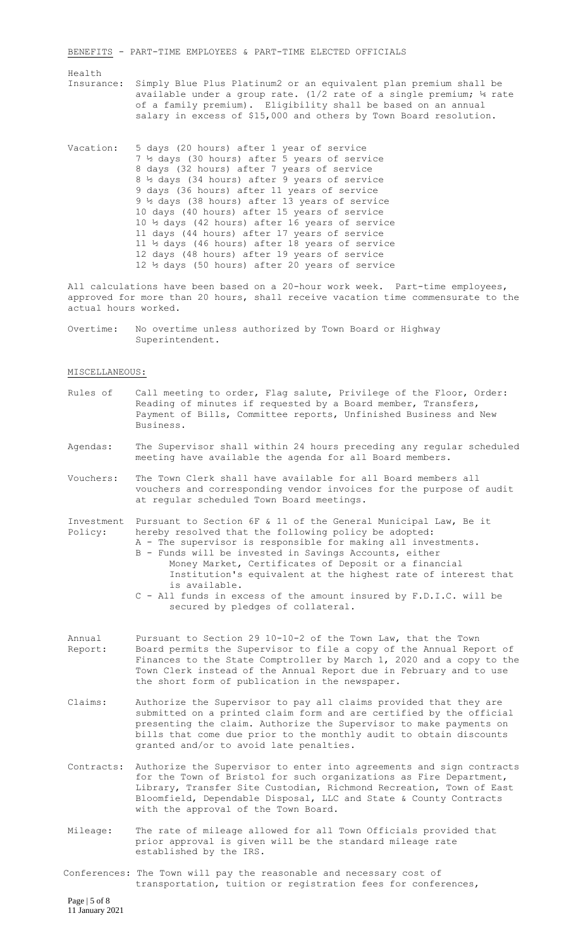BENEFITS - PART-TIME EMPLOYEES & PART-TIME ELECTED OFFICIALS

#### Health

- Insurance: Simply Blue Plus Platinum2 or an equivalent plan premium shall be available under a group rate. (1/2 rate of a single premium;  $\frac{1}{4}$  rate of a family premium). Eligibility shall be based on an annual salary in excess of \$15,000 and others by Town Board resolution.
- Vacation: 5 days (20 hours) after 1 year of service 7 ½ days (30 hours) after 5 years of service 8 days (32 hours) after 7 years of service 8 ½ days (34 hours) after 9 years of service 9 days (36 hours) after 11 years of service 9 ½ days (38 hours) after 13 years of service 10 days (40 hours) after 15 years of service 10 ½ days (42 hours) after 16 years of service 11 days (44 hours) after 17 years of service 11 ½ days (46 hours) after 18 years of service 12 days (48 hours) after 19 years of service 12 ½ days (50 hours) after 20 years of service

All calculations have been based on a 20-hour work week. Part-time employees, approved for more than 20 hours, shall receive vacation time commensurate to the actual hours worked.

Overtime: No overtime unless authorized by Town Board or Highway Superintendent.

MISCELLANEOUS:

- Rules of call meeting to order, Flag salute, Privilege of the Floor, Order: Reading of minutes if requested by a Board member, Transfers, Payment of Bills, Committee reports, Unfinished Business and New Business.
- Agendas: The Supervisor shall within 24 hours preceding any regular scheduled meeting have available the agenda for all Board members.
- Vouchers: The Town Clerk shall have available for all Board members all vouchers and corresponding vendor invoices for the purpose of audit at regular scheduled Town Board meetings.

Investment Pursuant to Section 6F & 11 of the General Municipal Law, Be it Policy: hereby resolved that the following policy be adopted: A - The supervisor is responsible for making all investments.

- B Funds will be invested in Savings Accounts, either Money Market, Certificates of Deposit or a financial Institution's equivalent at the highest rate of interest that is available.
- C All funds in excess of the amount insured by F.D.I.C. will be secured by pledges of collateral.
- Annual Pursuant to Section 29 10-10-2 of the Town Law, that the Town Report: Board permits the Supervisor to file a copy of the Annual Report of Finances to the State Comptroller by March 1, 2020 and a copy to the Town Clerk instead of the Annual Report due in February and to use the short form of publication in the newspaper.
- Claims: Authorize the Supervisor to pay all claims provided that they are submitted on a printed claim form and are certified by the official presenting the claim. Authorize the Supervisor to make payments on bills that come due prior to the monthly audit to obtain discounts granted and/or to avoid late penalties.
- Contracts: Authorize the Supervisor to enter into agreements and sign contracts for the Town of Bristol for such organizations as Fire Department, Library, Transfer Site Custodian, Richmond Recreation, Town of East Bloomfield, Dependable Disposal, LLC and State & County Contracts with the approval of the Town Board.
- Mileage: The rate of mileage allowed for all Town Officials provided that prior approval is given will be the standard mileage rate established by the IRS.
- Conferences: The Town will pay the reasonable and necessary cost of transportation, tuition or registration fees for conferences,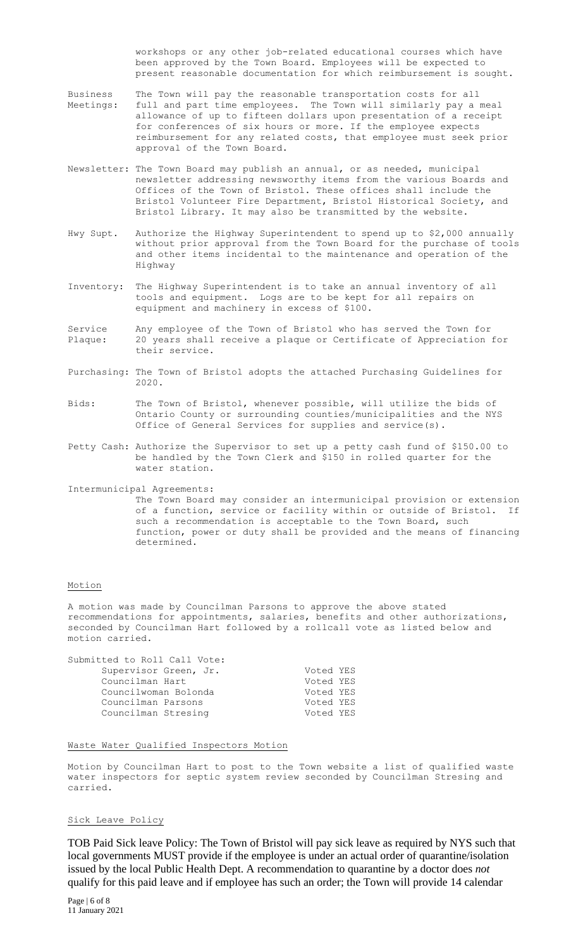workshops or any other job-related educational courses which have been approved by the Town Board. Employees will be expected to present reasonable documentation for which reimbursement is sought.

- Business The Town will pay the reasonable transportation costs for all Meetings: full and part time employees. The Town will similarly pay a meal allowance of up to fifteen dollars upon presentation of a receipt for conferences of six hours or more. If the employee expects reimbursement for any related costs, that employee must seek prior approval of the Town Board.
- Newsletter: The Town Board may publish an annual, or as needed, municipal newsletter addressing newsworthy items from the various Boards and Offices of the Town of Bristol. These offices shall include the Bristol Volunteer Fire Department, Bristol Historical Society, and Bristol Library. It may also be transmitted by the website.
- Hwy Supt. Authorize the Highway Superintendent to spend up to \$2,000 annually without prior approval from the Town Board for the purchase of tools and other items incidental to the maintenance and operation of the Highway
- Inventory: The Highway Superintendent is to take an annual inventory of all tools and equipment. Logs are to be kept for all repairs on equipment and machinery in excess of \$100.
- Service Any employee of the Town of Bristol who has served the Town for Plaque: 20 years shall receive a plaque or Certificate of Appreciation for their service.
- Purchasing: The Town of Bristol adopts the attached Purchasing Guidelines for 2020.
- Bids: The Town of Bristol, whenever possible, will utilize the bids of Ontario County or surrounding counties/municipalities and the NYS Office of General Services for supplies and service(s).
- Petty Cash: Authorize the Supervisor to set up a petty cash fund of \$150.00 to be handled by the Town Clerk and \$150 in rolled quarter for the water station.
- Intermunicipal Agreements: The Town Board may consider an intermunicipal provision or extension of a function, service or facility within or outside of Bristol. If such a recommendation is acceptable to the Town Board, such function, power or duty shall be provided and the means of financing determined.

#### Motion

A motion was made by Councilman Parsons to approve the above stated recommendations for appointments, salaries, benefits and other authorizations, seconded by Councilman Hart followed by a rollcall vote as listed below and motion carried.

| Voted YES |
|-----------|
| Voted YES |
| Voted YES |
| Voted YES |
| Voted YES |
|           |

#### Waste Water Qualified Inspectors Motion

Motion by Councilman Hart to post to the Town website a list of qualified waste water inspectors for septic system review seconded by Councilman Stresing and carried.

## Sick Leave Policy

TOB Paid Sick leave Policy: The Town of Bristol will pay sick leave as required by NYS such that local governments MUST provide if the employee is under an actual order of quarantine/isolation issued by the local Public Health Dept. A recommendation to quarantine by a doctor does *not* qualify for this paid leave and if employee has such an order; the Town will provide 14 calendar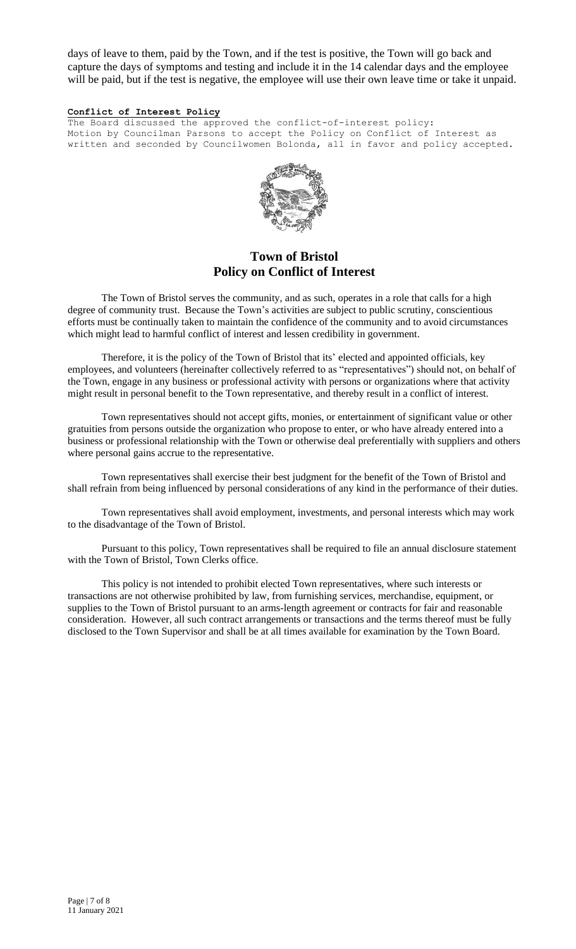days of leave to them, paid by the Town, and if the test is positive, the Town will go back and capture the days of symptoms and testing and include it in the 14 calendar days and the employee will be paid, but if the test is negative, the employee will use their own leave time or take it unpaid.

## **Conflict of Interest Policy**

The Board discussed the approved the conflict-of-interest policy: Motion by Councilman Parsons to accept the Policy on Conflict of Interest as written and seconded by Councilwomen Bolonda, all in favor and policy accepted.



# **Town of Bristol Policy on Conflict of Interest**

The Town of Bristol serves the community, and as such, operates in a role that calls for a high degree of community trust. Because the Town's activities are subject to public scrutiny, conscientious efforts must be continually taken to maintain the confidence of the community and to avoid circumstances which might lead to harmful conflict of interest and lessen credibility in government.

Therefore, it is the policy of the Town of Bristol that its' elected and appointed officials, key employees, and volunteers (hereinafter collectively referred to as "representatives") should not, on behalf of the Town, engage in any business or professional activity with persons or organizations where that activity might result in personal benefit to the Town representative, and thereby result in a conflict of interest.

Town representatives should not accept gifts, monies, or entertainment of significant value or other gratuities from persons outside the organization who propose to enter, or who have already entered into a business or professional relationship with the Town or otherwise deal preferentially with suppliers and others where personal gains accrue to the representative.

Town representatives shall exercise their best judgment for the benefit of the Town of Bristol and shall refrain from being influenced by personal considerations of any kind in the performance of their duties.

Town representatives shall avoid employment, investments, and personal interests which may work to the disadvantage of the Town of Bristol.

Pursuant to this policy, Town representatives shall be required to file an annual disclosure statement with the Town of Bristol, Town Clerks office.

This policy is not intended to prohibit elected Town representatives, where such interests or transactions are not otherwise prohibited by law, from furnishing services, merchandise, equipment, or supplies to the Town of Bristol pursuant to an arms-length agreement or contracts for fair and reasonable consideration. However, all such contract arrangements or transactions and the terms thereof must be fully disclosed to the Town Supervisor and shall be at all times available for examination by the Town Board.